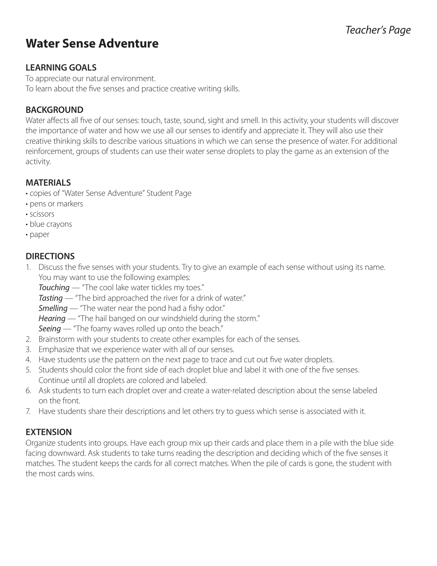## *Teacher's Page*

# **Water Sense Adventure**

#### **LEARNING GOALS**

To appreciate our natural environment. To learn about the five senses and practice creative writing skills.

#### **BACKGROUND**

Water affects all five of our senses: touch, taste, sound, sight and smell. In this activity, your students will discover the importance of water and how we use all our senses to identify and appreciate it. They will also use their creative thinking skills to describe various situations in which we can sense the presence of water. For additional reinforcement, groups of students can use their water sense droplets to play the game as an extension of the activity.

#### **MATERIALS**

- copies of "Water Sense Adventure" Student Page
- pens or markers
- scissors
- blue crayons
- paper

#### **DIRECTIONS**

1. Discuss the five senses with your students. Try to give an example of each sense without using its name. You may want to use the following examples:

*Touching* — "The cool lake water tickles my toes."

- *Tasting* "The bird approached the river for a drink of water."
- *Smelling* "The water near the pond had a fishy odor."
- *Hearing* "The hail banged on our windshield during the storm."
- **Seeing** "The foamy waves rolled up onto the beach."
- 2. Brainstorm with your students to create other examples for each of the senses.
- 3. Emphasize that we experience water with all of our senses.
- 4. Have students use the pattern on the next page to trace and cut out five water droplets.
- 5. Students should color the front side of each droplet blue and label it with one of the five senses. Continue until all droplets are colored and labeled.
- 6. Ask students to turn each droplet over and create a water-related description about the sense labeled on the front.
- 7. Have students share their descriptions and let others try to guess which sense is associated with it.

#### **EXTENSION**

Organize students into groups. Have each group mix up their cards and place them in a pile with the blue side facing downward. Ask students to take turns reading the description and deciding which of the five senses it matches. The student keeps the cards for all correct matches. When the pile of cards is gone, the student with the most cards wins.